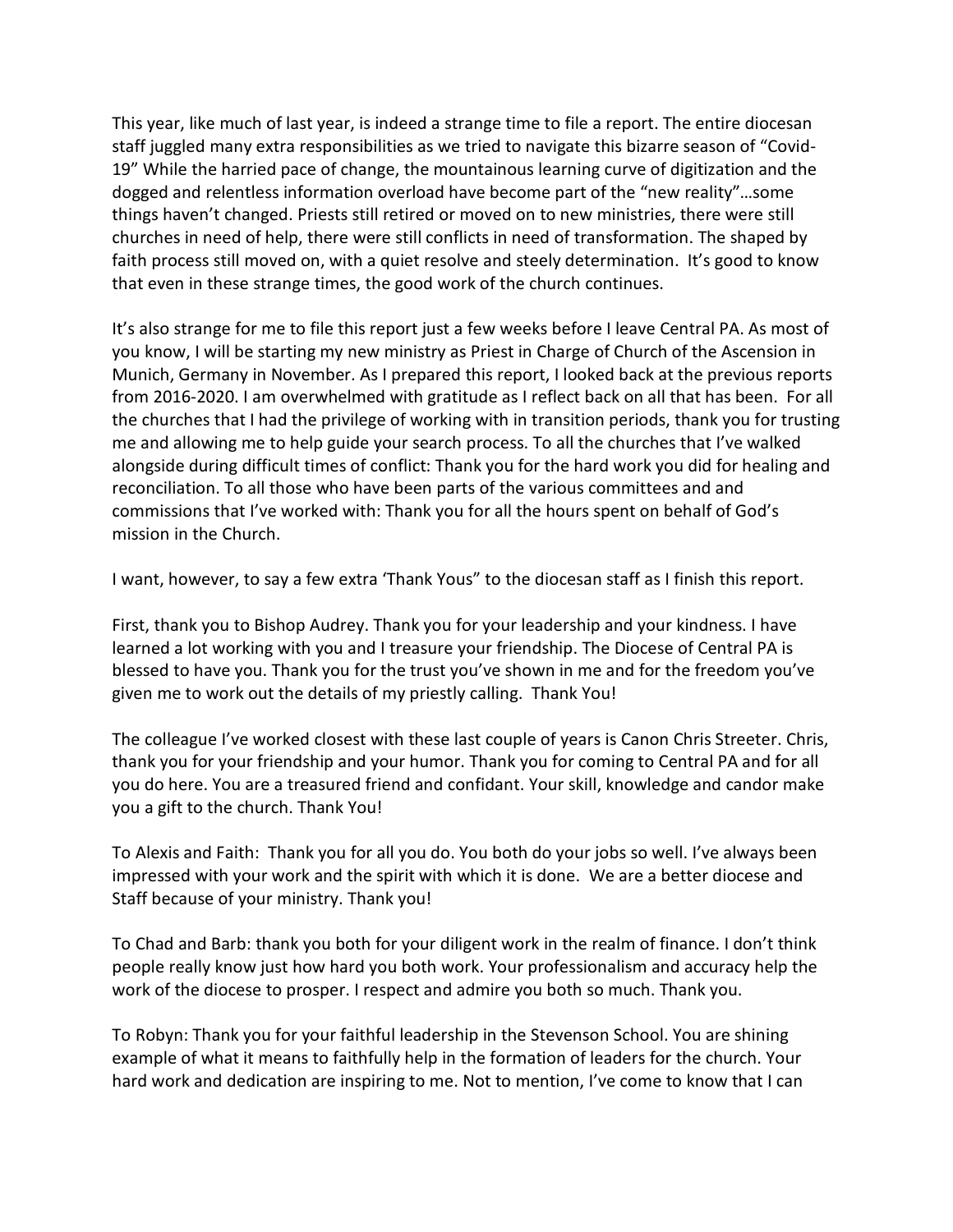This year, like much of last year, is indeed a strange time to file a report. The entire diocesan staff juggled many extra responsibilities as we tried to navigate this bizarre season of "Covid-19" While the harried pace of change, the mountainous learning curve of digitization and the dogged and relentless information overload have become part of the "new reality"…some things haven't changed. Priests still retired or moved on to new ministries, there were still churches in need of help, there were still conflicts in need of transformation. The shaped by faith process still moved on, with a quiet resolve and steely determination. It's good to know that even in these strange times, the good work of the church continues.

It's also strange for me to file this report just a few weeks before I leave Central PA. As most of you know, I will be starting my new ministry as Priest in Charge of Church of the Ascension in Munich, Germany in November. As I prepared this report, I looked back at the previous reports from 2016-2020. I am overwhelmed with gratitude as I reflect back on all that has been. For all the churches that I had the privilege of working with in transition periods, thank you for trusting me and allowing me to help guide your search process. To all the churches that I've walked alongside during difficult times of conflict: Thank you for the hard work you did for healing and reconciliation. To all those who have been parts of the various committees and and commissions that I've worked with: Thank you for all the hours spent on behalf of God's mission in the Church.

I want, however, to say a few extra 'Thank Yous" to the diocesan staff as I finish this report.

First, thank you to Bishop Audrey. Thank you for your leadership and your kindness. I have learned a lot working with you and I treasure your friendship. The Diocese of Central PA is blessed to have you. Thank you for the trust you've shown in me and for the freedom you've given me to work out the details of my priestly calling. Thank You!

The colleague I've worked closest with these last couple of years is Canon Chris Streeter. Chris, thank you for your friendship and your humor. Thank you for coming to Central PA and for all you do here. You are a treasured friend and confidant. Your skill, knowledge and candor make you a gift to the church. Thank You!

To Alexis and Faith: Thank you for all you do. You both do your jobs so well. I've always been impressed with your work and the spirit with which it is done. We are a better diocese and Staff because of your ministry. Thank you!

To Chad and Barb: thank you both for your diligent work in the realm of finance. I don't think people really know just how hard you both work. Your professionalism and accuracy help the work of the diocese to prosper. I respect and admire you both so much. Thank you.

To Robyn: Thank you for your faithful leadership in the Stevenson School. You are shining example of what it means to faithfully help in the formation of leaders for the church. Your hard work and dedication are inspiring to me. Not to mention, I've come to know that I can